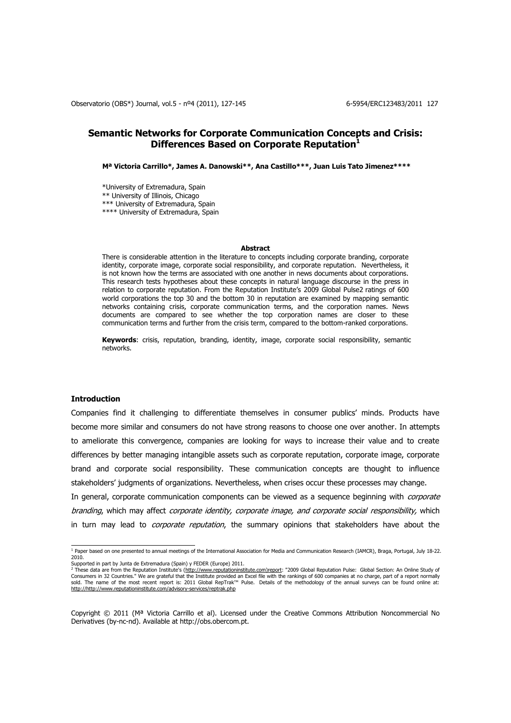# **Semantic Networks for Corporate Communication Concepts and Crisis: Differences Based on Corporate Reputation<sup>1</sup>**

**Mª Victoria Carrillo\*, James A. Danowski\*\*, Ana Castillo\*\*\*, Juan Luis Tato Jimenez\*\*\*\***

\*University of Extremadura, Spain \*\* University of Illinois, Chicago \*\*\* University of Extremadura, Spain \*\*\*\* University of Extremadura, Spain

#### **Abstract**

There is considerable attention in the literature to concepts including corporate branding, corporate identity, corporate image, corporate social responsibility, and corporate reputation. Nevertheless, it is not known how the terms are associated with one another in news documents about corporations. This research tests hypotheses about these concepts in natural language discourse in the press in relation to corporate reputation. From the Reputation Institute's 2009 Global Pulse2 ratings of 600 world corporations the top 30 and the bottom 30 in reputation are examined by mapping semantic networks containing crisis, corporate communication terms, and the corporation names. News documents are compared to see whether the top corporation names are closer to these communication terms and further from the crisis term, compared to the bottom-ranked corporations.

**Keywords**: crisis, reputation, branding, identity, image, corporate social responsibility, semantic networks.

## **Introduction**

Companies find it challenging to differentiate themselves in consumer publics' minds. Products have become more similar and consumers do not have strong reasons to choose one over another. In attempts to ameliorate this convergence, companies are looking for ways to increase their value and to create differences by better managing intangible assets such as corporate reputation, corporate image, corporate brand and corporate social responsibility. These communication concepts are thought to influence stakeholders' judgments of organizations. Nevertheless, when crises occur these processes may change.

In general, corporate communication components can be viewed as a sequence beginning with *corporate* branding, which may affect corporate identity, corporate image, and corporate social responsibility, which in turn may lead to *corporate reputation*, the summary opinions that stakeholders have about the

<sup>&</sup>lt;sup>1</sup> Paper based on one presented to annual meetings of the International Association for Media and Communication Research (IAMCR), Braga, Portugal, July 18-22. 2010.

Supported in part by Junta de Extremadura (Spain) y FEDER (Europe) 2011.<br><sup>2</sup> These data are from the Reputation Institute's (h<u>ttp://www.reputationinstitute.com)report</u>: "2009 Global Reputation Pulse: Global Section: An O sold. The name of the most recent report is: 2011 Global RepTrak™ Pulse. Details of the methodology of the annual surveys can be found online at: [http://http://www.reputationinstitute.com/advisory-services/reptrak.php](http://http/www.reputationinstitute.com/advisory-services/reptrak.php)

Copyright © 2011 (Mª Victoria Carrillo et al). Licensed under the Creative Commons Attribution Noncommercial No Derivatives (by-nc-nd). Available at http://obs.obercom.pt.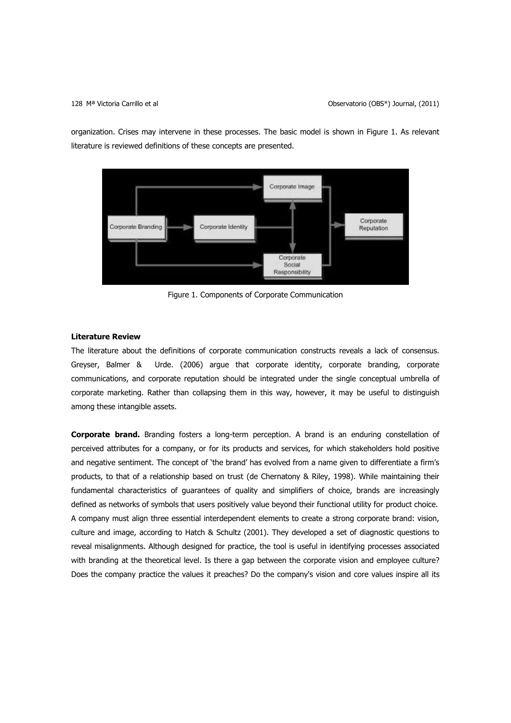organization. Crises may intervene in these processes. The basic model is shown in Figure 1. As relevant literature is reviewed definitions of these concepts are presented.



Figure 1. Components of Corporate Communication

## **Literature Review**

The literature about the definitions of corporate communication constructs reveals a lack of consensus. Greyser, Balmer & Urde. (2006) argue that corporate identity, corporate branding, corporate communications, and corporate reputation should be integrated under the single conceptual umbrella of corporate marketing. Rather than collapsing them in this way, however, it may be useful to distinguish among these intangible assets.

**Corporate brand.** Branding fosters a long-term perception. A brand is an enduring constellation of perceived attributes for a company, or for its products and services, for which stakeholders hold positive and negative sentiment. The concept of 'the brand' has evolved from a name given to differentiate a firm's products, to that of a relationship based on trust (de Chernatony & Riley, 1998). While maintaining their fundamental characteristics of guarantees of quality and simplifiers of choice, brands are increasingly defined as networks of symbols that users positively value beyond their functional utility for product choice. A company must align three essential interdependent elements to create a strong corporate brand: vision, culture and image, according to Hatch & Schultz (2001). They developed a set of diagnostic questions to reveal misalignments. Although designed for practice, the tool is useful in identifying processes associated with branding at the theoretical level. Is there a gap between the corporate vision and employee culture? Does the company practice the values it preaches? Do the company's vision and core values inspire all its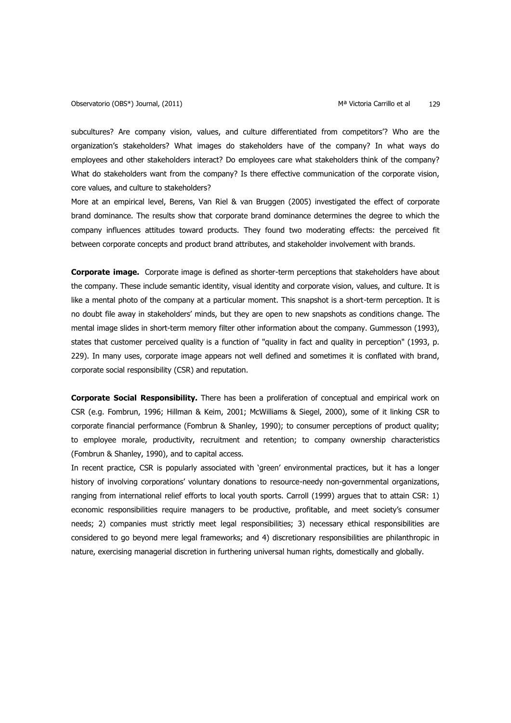subcultures? Are company vision, values, and culture differentiated from competitors'? Who are the organization's stakeholders? What images do stakeholders have of the company? In what ways do employees and other stakeholders interact? Do employees care what stakeholders think of the company? What do stakeholders want from the company? Is there effective communication of the corporate vision, core values, and culture to stakeholders?

More at an empirical level, Berens, Van Riel & van Bruggen (2005) investigated the effect of corporate brand dominance. The results show that corporate brand dominance determines the degree to which the company influences attitudes toward products. They found two moderating effects: the perceived fit between corporate concepts and product brand attributes, and stakeholder involvement with brands.

**Corporate image.** Corporate image is defined as shorter-term perceptions that stakeholders have about the company. These include semantic identity, visual identity and corporate vision, values, and culture. It is like a mental photo of the company at a particular moment. This snapshot is a short-term perception. It is no doubt file away in stakeholders' minds, but they are open to new snapshots as conditions change. The mental image slides in short-term memory filter other information about the company. Gummesson (1993), states that customer perceived quality is a function of "quality in fact and quality in perception" (1993, p. 229). In many uses, corporate image appears not well defined and sometimes it is conflated with brand, corporate social responsibility (CSR) and reputation.

**Corporate Social Responsibility.** There has been a proliferation of conceptual and empirical work on CSR (e.g. Fombrun, 1996; Hillman & Keim, 2001; McWilliams & Siegel, 2000), some of it linking CSR to corporate financial performance (Fombrun & Shanley, 1990); to consumer perceptions of product quality; to employee morale, productivity, recruitment and retention; to company ownership characteristics (Fombrun & Shanley, 1990), and to capital access.

In recent practice, CSR is popularly associated with 'green' environmental practices, but it has a longer history of involving corporations' voluntary donations to resource-needy non-governmental organizations, ranging from international relief efforts to local youth sports. Carroll (1999) argues that to attain CSR: 1) economic responsibilities require managers to be productive, profitable, and meet society's consumer needs; 2) companies must strictly meet legal responsibilities; 3) necessary ethical responsibilities are considered to go beyond mere legal frameworks; and 4) discretionary responsibilities are philanthropic in nature, exercising managerial discretion in furthering universal human rights, domestically and globally.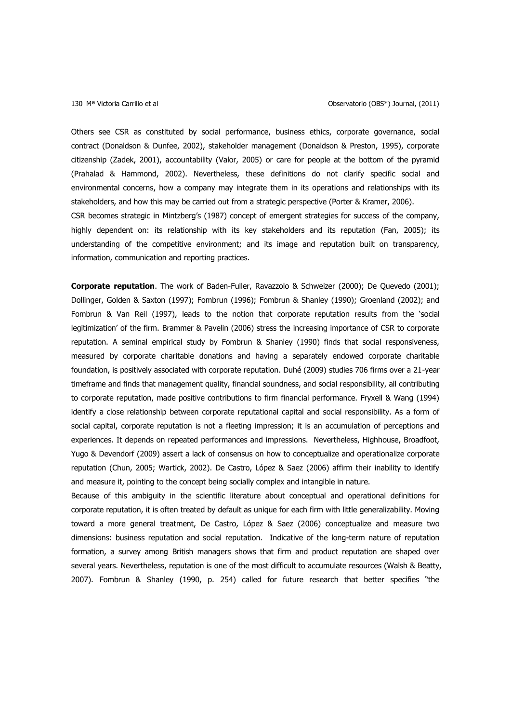Others see CSR as constituted by social performance, business ethics, corporate governance, social contract (Donaldson & Dunfee, 2002), stakeholder management (Donaldson & Preston, 1995), corporate citizenship (Zadek, 2001), accountability (Valor, 2005) or care for people at the bottom of the pyramid (Prahalad & Hammond, 2002). Nevertheless, these definitions do not clarify specific social and environmental concerns, how a company may integrate them in its operations and relationships with its stakeholders, and how this may be carried out from a strategic perspective (Porter & Kramer, 2006).

CSR becomes strategic in Mintzberg's (1987) concept of emergent strategies for success of the company, highly dependent on: its relationship with its key stakeholders and its reputation (Fan, 2005); its understanding of the competitive environment; and its image and reputation built on transparency, information, communication and reporting practices.

**Corporate reputation**. The work of Baden-Fuller, Ravazzolo & Schweizer (2000); De Quevedo (2001); Dollinger, Golden & Saxton (1997); Fombrun (1996); Fombrun & Shanley (1990); Groenland (2002); and Fombrun & Van Reil (1997), leads to the notion that corporate reputation results from the 'social legitimization' of the firm. Brammer & Pavelin (2006) stress the increasing importance of CSR to corporate reputation. A seminal empirical study by Fombrun & Shanley (1990) finds that social responsiveness, measured by corporate charitable donations and having a separately endowed corporate charitable foundation, is positively associated with corporate reputation. Duhé (2009) studies 706 firms over a 21-year timeframe and finds that management quality, financial soundness, and social responsibility, all contributing to corporate reputation, made positive contributions to firm financial performance. Fryxell & Wang (1994) identify a close relationship between corporate reputational capital and social responsibility. As a form of social capital, corporate reputation is not a fleeting impression; it is an accumulation of perceptions and experiences. It depends on repeated performances and impressions. Nevertheless, Highhouse, Broadfoot, Yugo & Devendorf (2009) assert a lack of consensus on how to conceptualize and operationalize corporate reputation (Chun, 2005; Wartick, 2002). De Castro, López & Saez (2006) affirm their inability to identify and measure it, pointing to the concept being socially complex and intangible in nature.

Because of this ambiguity in the scientific literature about conceptual and operational definitions for corporate reputation, it is often treated by default as unique for each firm with little generalizability. Moving toward a more general treatment, De Castro, López & Saez (2006) conceptualize and measure two dimensions: business reputation and social reputation. Indicative of the long-term nature of reputation formation, a survey among British managers shows that firm and product reputation are shaped over several years. Nevertheless, reputation is one of the most difficult to accumulate resources (Walsh & Beatty, 2007). Fombrun & Shanley (1990, p. 254) called for future research that better specifies "the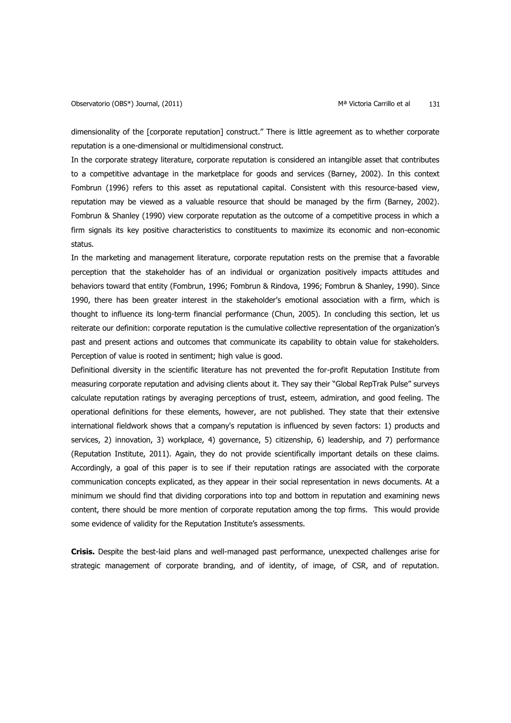dimensionality of the [corporate reputation] construct." There is little agreement as to whether corporate reputation is a one-dimensional or multidimensional construct.

In the corporate strategy literature, corporate reputation is considered an intangible asset that contributes to a competitive advantage in the marketplace for goods and services (Barney, 2002). In this context Fombrun (1996) refers to this asset as reputational capital. Consistent with this resource-based view, reputation may be viewed as a valuable resource that should be managed by the firm (Barney, 2002). Fombrun & Shanley (1990) view corporate reputation as the outcome of a competitive process in which a firm signals its key positive characteristics to constituents to maximize its economic and non-economic status.

In the marketing and management literature, corporate reputation rests on the premise that a favorable perception that the stakeholder has of an individual or organization positively impacts attitudes and behaviors toward that entity (Fombrun, 1996; Fombrun & Rindova, 1996; Fombrun & Shanley, 1990). Since 1990, there has been greater interest in the stakeholder's emotional association with a firm, which is thought to influence its long-term financial performance (Chun, 2005). In concluding this section, let us reiterate our definition: corporate reputation is the cumulative collective representation of the organization's past and present actions and outcomes that communicate its capability to obtain value for stakeholders. Perception of value is rooted in sentiment; high value is good.

Definitional diversity in the scientific literature has not prevented the for-profit Reputation Institute from measuring corporate reputation and advising clients about it. They say their "Global RepTrak Pulse" surveys calculate reputation ratings by averaging perceptions of trust, esteem, admiration, and good feeling. The operational definitions for these elements, however, are not published. They state that their extensive international fieldwork shows that a company's reputation is influenced by seven factors: 1) products and services, 2) innovation, 3) workplace, 4) governance, 5) citizenship, 6) leadership, and 7) performance (Reputation Institute, 2011). Again, they do not provide scientifically important details on these claims. Accordingly, a goal of this paper is to see if their reputation ratings are associated with the corporate communication concepts explicated, as they appear in their social representation in news documents. At a minimum we should find that dividing corporations into top and bottom in reputation and examining news content, there should be more mention of corporate reputation among the top firms. This would provide some evidence of validity for the Reputation Institute's assessments.

**Crisis.** Despite the best-laid plans and well-managed past performance, unexpected challenges arise for strategic management of corporate branding, and of identity, of image, of CSR, and of reputation.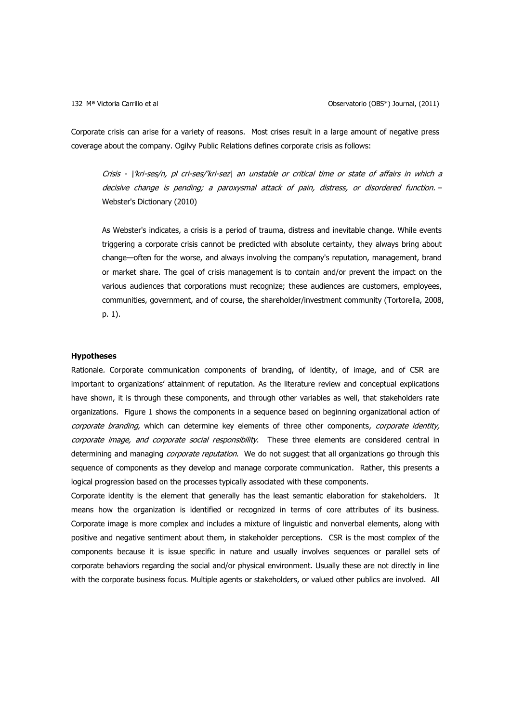Corporate crisis can arise for a variety of reasons. Most crises result in a large amount of negative press coverage about the company. Ogilvy Public Relations defines corporate crisis as follows:

Crisis - \'kri-ses/n, pl cri-ses/'kri-sez\ an unstable or critical time or state of affairs in which a decisive change is pending; a paroxysmal attack of pain, distress, or disordered function. – Webster's Dictionary (2010)

As Webster's indicates, a crisis is a period of trauma, distress and inevitable change. While events triggering a corporate crisis cannot be predicted with absolute certainty, they always bring about change—often for the worse, and always involving the company's reputation, management, brand or market share. The goal of crisis management is to contain and/or prevent the impact on the various audiences that corporations must recognize; these audiences are customers, employees, communities, government, and of course, the shareholder/investment community (Tortorella, 2008, p. 1).

## **Hypotheses**

Rationale. Corporate communication components of branding, of identity, of image, and of CSR are important to organizations' attainment of reputation. As the literature review and conceptual explications have shown, it is through these components, and through other variables as well, that stakeholders rate organizations. Figure 1 shows the components in a sequence based on beginning organizational action of corporate branding, which can determine key elements of three other components, corporate identity, corporate image, and corporate social responsibility. These three elements are considered central in determining and managing *corporate reputation*. We do not suggest that all organizations go through this sequence of components as they develop and manage corporate communication. Rather, this presents a logical progression based on the processes typically associated with these components.

Corporate identity is the element that generally has the least semantic elaboration for stakeholders. It means how the organization is identified or recognized in terms of core attributes of its business. Corporate image is more complex and includes a mixture of linguistic and nonverbal elements, along with positive and negative sentiment about them, in stakeholder perceptions. CSR is the most complex of the components because it is issue specific in nature and usually involves sequences or parallel sets of corporate behaviors regarding the social and/or physical environment. Usually these are not directly in line with the corporate business focus. Multiple agents or stakeholders, or valued other publics are involved. All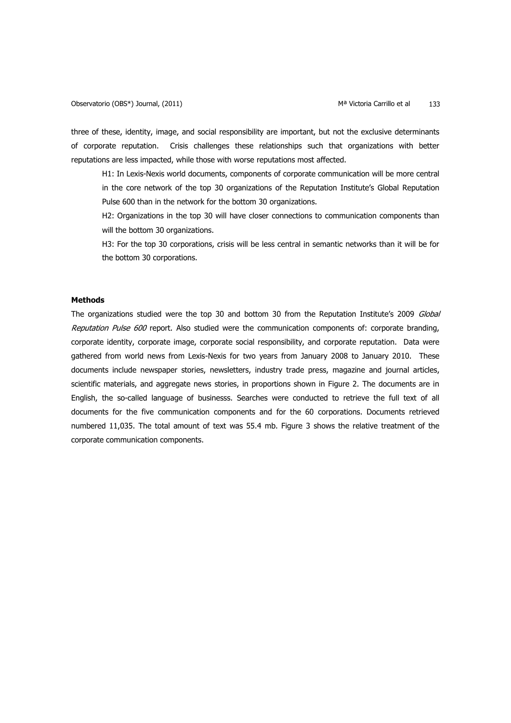three of these, identity, image, and social responsibility are important, but not the exclusive determinants of corporate reputation. Crisis challenges these relationships such that organizations with better reputations are less impacted, while those with worse reputations most affected.

H1: In Lexis-Nexis world documents, components of corporate communication will be more central in the core network of the top 30 organizations of the Reputation Institute's Global Reputation Pulse 600 than in the network for the bottom 30 organizations.

H2: Organizations in the top 30 will have closer connections to communication components than will the bottom 30 organizations.

H3: For the top 30 corporations, crisis will be less central in semantic networks than it will be for the bottom 30 corporations.

## **Methods**

The organizations studied were the top 30 and bottom 30 from the Reputation Institute's 2009 Global Reputation Pulse 600 report. Also studied were the communication components of: corporate branding, corporate identity, corporate image, corporate social responsibility, and corporate reputation. Data were gathered from world news from Lexis-Nexis for two years from January 2008 to January 2010. These documents include newspaper stories, newsletters, industry trade press, magazine and journal articles, scientific materials, and aggregate news stories, in proportions shown in Figure 2. The documents are in English, the so-called language of businesss. Searches were conducted to retrieve the full text of all documents for the five communication components and for the 60 corporations. Documents retrieved numbered 11,035. The total amount of text was 55.4 mb. Figure 3 shows the relative treatment of the corporate communication components.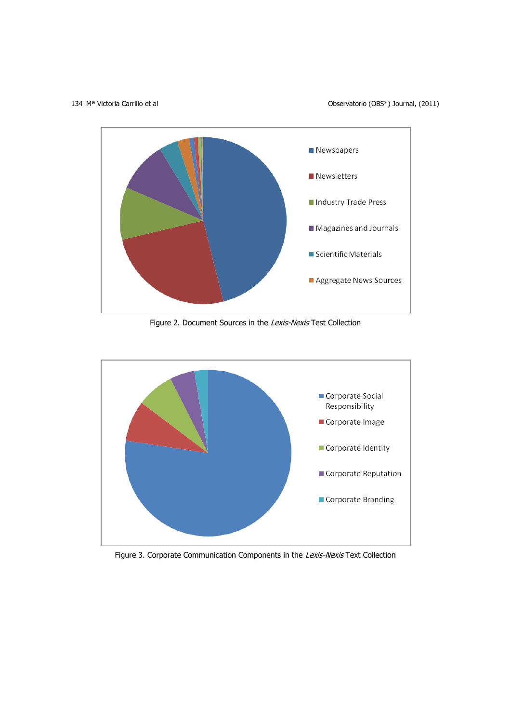134 M<sup>a</sup> Victoria Carrillo et al **Observatorio (OBS\*)** Journal, (2011)



Figure 2. Document Sources in the Lexis-Nexis Test Collection



Figure 3. Corporate Communication Components in the Lexis-Nexis Text Collection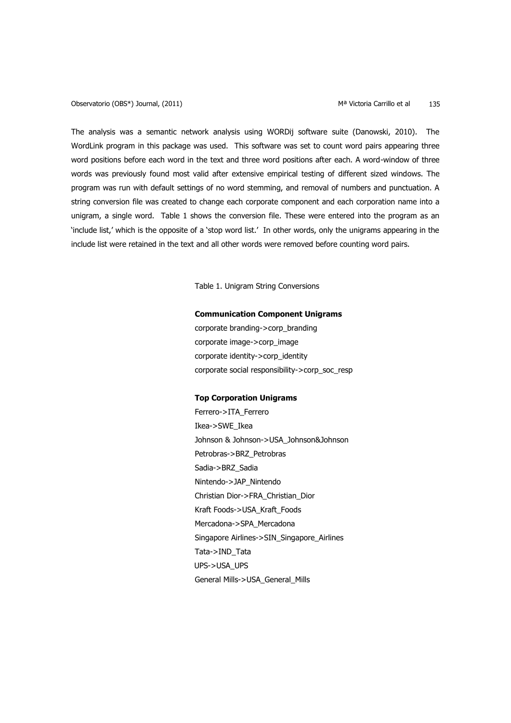Observatorio (OBS\*) Journal, (2011) Ma Victoria Carrillo et al musulm and the server of the Manus Control of the Ma

The analysis was a semantic network analysis using WORDij software suite (Danowski, 2010). The WordLink program in this package was used. This software was set to count word pairs appearing three word positions before each word in the text and three word positions after each. A word-window of three words was previously found most valid after extensive empirical testing of different sized windows. The program was run with default settings of no word stemming, and removal of numbers and punctuation. A string conversion file was created to change each corporate component and each corporation name into a unigram, a single word. Table 1 shows the conversion file. These were entered into the program as an 'include list,' which is the opposite of a 'stop word list.' In other words, only the unigrams appearing in the include list were retained in the text and all other words were removed before counting word pairs.

Table 1. Unigram String Conversions

## **Communication Component Unigrams**

corporate branding->corp\_branding corporate image->corp\_image corporate identity->corp\_identity corporate social responsibility->corp\_soc\_resp

#### **Top Corporation Unigrams**

Ferrero->ITA\_Ferrero Ikea->SWE\_Ikea Johnson & Johnson->USA\_Johnson&Johnson Petrobras->BRZ\_Petrobras Sadia->BRZ\_Sadia Nintendo->JAP\_Nintendo Christian Dior->FRA\_Christian\_Dior Kraft Foods->USA\_Kraft\_Foods Mercadona->SPA\_Mercadona Singapore Airlines->SIN\_Singapore\_Airlines Tata->IND\_Tata UPS->USA\_UPS General Mills->USA\_General\_Mills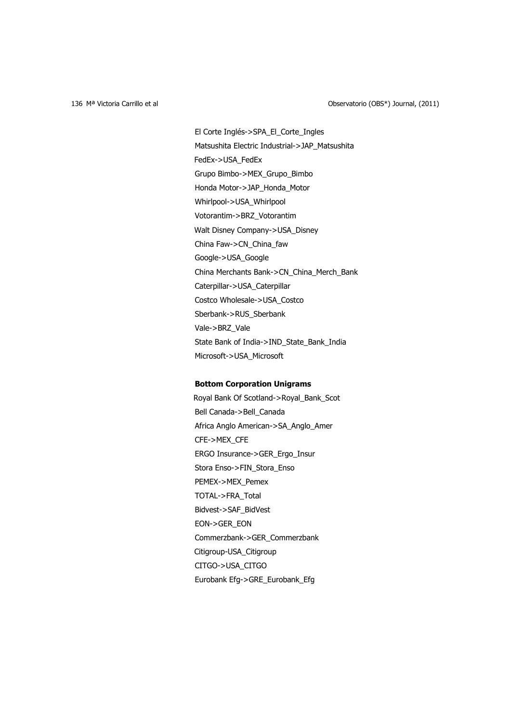El Corte Inglés->SPA\_El\_Corte\_Ingles Matsushita Electric Industrial->JAP\_Matsushita FedEx->USA\_FedEx Grupo Bimbo->MEX\_Grupo\_Bimbo Honda Motor->JAP\_Honda\_Motor Whirlpool->USA\_Whirlpool Votorantim->BRZ\_Votorantim Walt Disney Company->USA\_Disney China Faw->CN\_China\_faw Google->USA\_Google China Merchants Bank->CN\_China\_Merch\_Bank Caterpillar->USA\_Caterpillar Costco Wholesale->USA\_Costco Sberbank->RUS\_Sberbank Vale->BRZ\_Vale State Bank of India->IND\_State\_Bank\_India Microsoft->USA\_Microsoft

## **Bottom Corporation Unigrams**

Royal Bank Of Scotland->Royal\_Bank\_Scot Bell Canada->Bell\_Canada Africa Anglo American->SA\_Anglo\_Amer CFE->MEX\_CFE ERGO Insurance->GER\_Ergo\_Insur Stora Enso->FIN\_Stora\_Enso PEMEX->MEX\_Pemex TOTAL->FRA\_Total Bidvest->SAF\_BidVest EON->GER\_EON Commerzbank->GER\_Commerzbank Citigroup-USA\_Citigroup CITGO->USA\_CITGO Eurobank Efg->GRE\_Eurobank\_Efg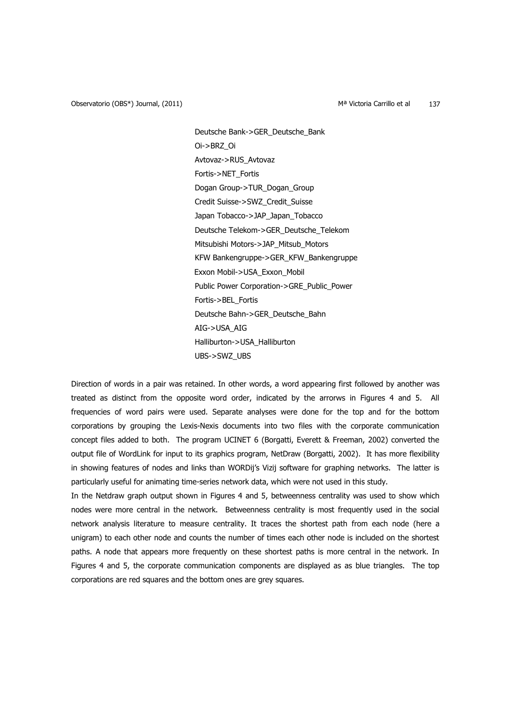Observatorio (OBS\*) Journal, (2011) Ma Victoria Carrillo et al material of the Magnus Carrillo et al material o

Deutsche Bank->GER\_Deutsche\_Bank Oi->BRZ\_Oi Avtovaz->RUS\_Avtovaz Fortis->NET\_Fortis Dogan Group->TUR\_Dogan\_Group Credit Suisse->SWZ\_Credit\_Suisse Japan Tobacco->JAP\_Japan\_Tobacco Deutsche Telekom->GER\_Deutsche\_Telekom Mitsubishi Motors->JAP\_Mitsub\_Motors KFW Bankengruppe->GER\_KFW\_Bankengruppe Exxon Mobil->USA\_Exxon\_Mobil Public Power Corporation->GRE\_Public\_Power Fortis->BEL\_Fortis Deutsche Bahn->GER\_Deutsche\_Bahn AIG->USA\_AIG Halliburton->USA\_Halliburton UBS->SWZ\_UBS

Direction of words in a pair was retained. In other words, a word appearing first followed by another was treated as distinct from the opposite word order, indicated by the arrorws in Figures 4 and 5. All frequencies of word pairs were used. Separate analyses were done for the top and for the bottom corporations by grouping the Lexis-Nexis documents into two files with the corporate communication concept files added to both. The program UCINET 6 (Borgatti, Everett & Freeman, 2002) converted the output file of WordLink for input to its graphics program, NetDraw (Borgatti, 2002). It has more flexibility in showing features of nodes and links than WORDij's Vizij software for graphing networks. The latter is particularly useful for animating time-series network data, which were not used in this study.

In the Netdraw graph output shown in Figures 4 and 5, betweenness centrality was used to show which nodes were more central in the network. Betweenness centrality is most frequently used in the social network analysis literature to measure centrality. It traces the shortest path from each node (here a unigram) to each other node and counts the number of times each other node is included on the shortest paths. A node that appears more frequently on these shortest paths is more central in the network. In Figures 4 and 5, the corporate communication components are displayed as as blue triangles. The top corporations are red squares and the bottom ones are grey squares.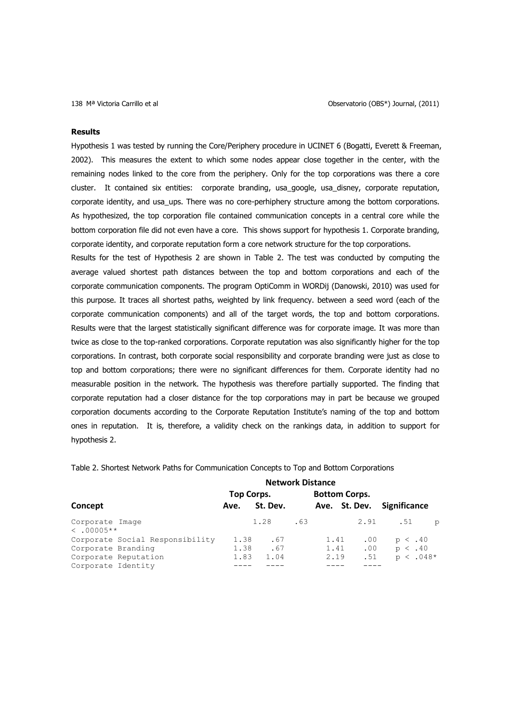#### **Results**

Hypothesis 1 was tested by running the Core/Periphery procedure in UCINET 6 (Bogatti, Everett & Freeman, 2002). This measures the extent to which some nodes appear close together in the center, with the remaining nodes linked to the core from the periphery. Only for the top corporations was there a core cluster. It contained six entities: corporate branding, usa\_google, usa\_disney, corporate reputation, corporate identity, and usa\_ups. There was no core-perhiphery structure among the bottom corporations. As hypothesized, the top corporation file contained communication concepts in a central core while the bottom corporation file did not even have a core. This shows support for hypothesis 1. Corporate branding, corporate identity, and corporate reputation form a core network structure for the top corporations.

Results for the test of Hypothesis 2 are shown in Table 2. The test was conducted by computing the average valued shortest path distances between the top and bottom corporations and each of the corporate communication components. The program OptiComm in WORDij (Danowski, 2010) was used for this purpose. It traces all shortest paths, weighted by link frequency. between a seed word (each of the corporate communication components) and all of the target words, the top and bottom corporations. Results were that the largest statistically significant difference was for corporate image. It was more than twice as close to the top-ranked corporations. Corporate reputation was also significantly higher for the top corporations. In contrast, both corporate social responsibility and corporate branding were just as close to top and bottom corporations; there were no significant differences for them. Corporate identity had no measurable position in the network. The hypothesis was therefore partially supported. The finding that corporate reputation had a closer distance for the top corporations may in part be because we grouped corporation documents according to the Corporate Reputation Institute's naming of the top and bottom ones in reputation. It is, therefore, a validity check on the rankings data, in addition to support for hypothesis 2.

|                                    | <b>Network Distance</b> |          |     |      |                      |                     |               |
|------------------------------------|-------------------------|----------|-----|------|----------------------|---------------------|---------------|
|                                    | Top Corps.              |          |     |      | <b>Bottom Corps.</b> |                     |               |
| Concept                            | Ave.                    | St. Dev. |     |      | Ave. St. Dev.        | <b>Significance</b> |               |
| Corporate Image<br>$\leq 0.0005**$ |                         | 1.28     | .63 |      | 2.91                 | .51                 | $\circ$       |
| Corporate Social Responsibility    | 1.38                    | .67      |     | 1.41 | .00                  | $p \lt .40$         |               |
| Corporate Branding                 | 1.38                    | .67      |     | 1.41 | .00                  | $p \lt .40$         |               |
| Corporate Reputation               | 1.83                    | 1.04     |     | 2.19 | .51                  |                     | $p \lt .048*$ |
| Corporate Identity                 |                         |          |     |      |                      |                     |               |

Table 2. Shortest Network Paths for Communication Concepts to Top and Bottom Corporations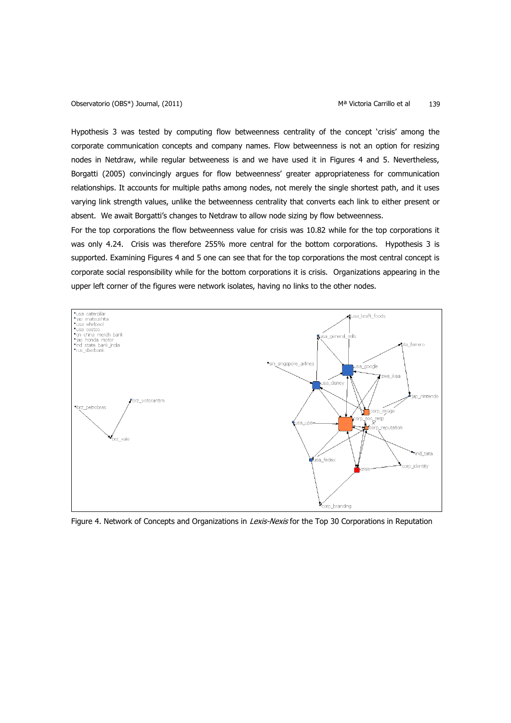Hypothesis 3 was tested by computing flow betweenness centrality of the concept 'crisis' among the corporate communication concepts and company names. Flow betweenness is not an option for resizing nodes in Netdraw, while regular betweeness is and we have used it in Figures 4 and 5. Nevertheless, Borgatti (2005) convincingly argues for flow betweenness' greater appropriateness for communication relationships. It accounts for multiple paths among nodes, not merely the single shortest path, and it uses varying link strength values, unlike the betweenness centrality that converts each link to either present or absent. We await Borgatti's changes to Netdraw to allow node sizing by flow betweenness.

For the top corporations the flow betweenness value for crisis was 10.82 while for the top corporations it was only 4.24. Crisis was therefore 255% more central for the bottom corporations. Hypothesis 3 is supported. Examining Figures 4 and 5 one can see that for the top corporations the most central concept is corporate social responsibility while for the bottom corporations it is crisis. Organizations appearing in the upper left corner of the figures were network isolates, having no links to the other nodes.



Figure 4. Network of Concepts and Organizations in Lexis-Nexis for the Top 30 Corporations in Reputation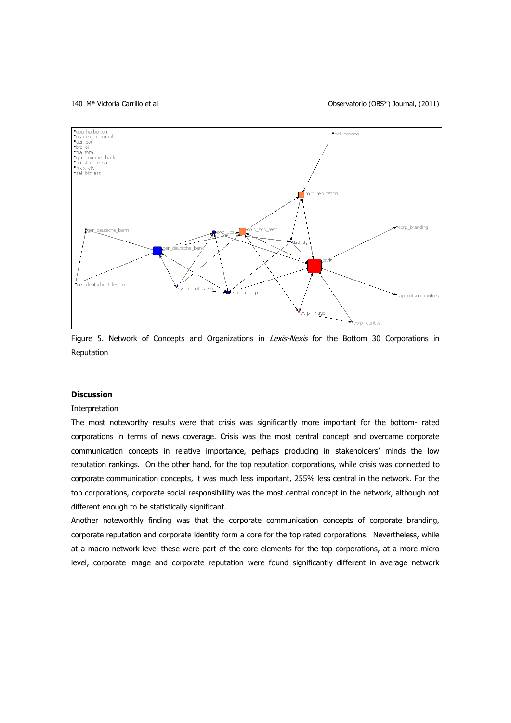#### 140 Mª Victoria Carrillo et al Observatorio (OBS\*) Journal, (2011)



Figure 5. Network of Concepts and Organizations in *Lexis-Nexis* for the Bottom 30 Corporations in Reputation

## **Discussion**

### Interpretation

The most noteworthy results were that crisis was significantly more important for the bottom- rated corporations in terms of news coverage. Crisis was the most central concept and overcame corporate communication concepts in relative importance, perhaps producing in stakeholders' minds the low reputation rankings. On the other hand, for the top reputation corporations, while crisis was connected to corporate communication concepts, it was much less important, 255% less central in the network. For the top corporations, corporate social responsibililty was the most central concept in the network, although not different enough to be statistically significant.

Another noteworthly finding was that the corporate communication concepts of corporate branding, corporate reputation and corporate identity form a core for the top rated corporations. Nevertheless, while at a macro-network level these were part of the core elements for the top corporations, at a more micro level, corporate image and corporate reputation were found significantly different in average network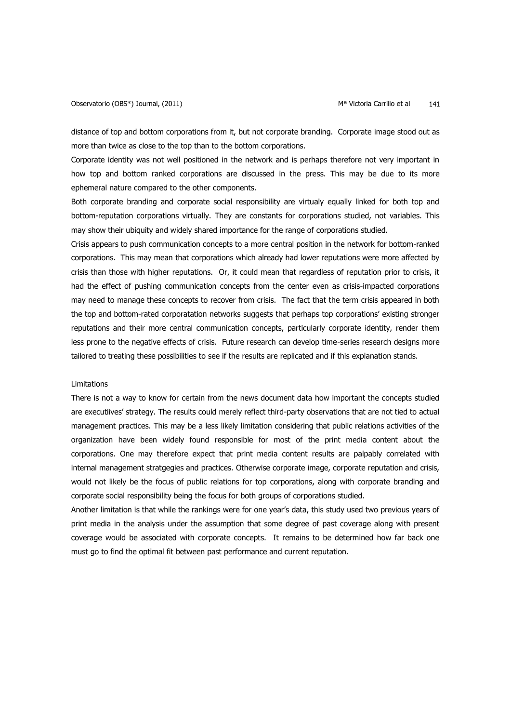distance of top and bottom corporations from it, but not corporate branding. Corporate image stood out as more than twice as close to the top than to the bottom corporations.

Corporate identity was not well positioned in the network and is perhaps therefore not very important in how top and bottom ranked corporations are discussed in the press. This may be due to its more ephemeral nature compared to the other components.

Both corporate branding and corporate social responsibility are virtualy equally linked for both top and bottom-reputation corporations virtually. They are constants for corporations studied, not variables. This may show their ubiquity and widely shared importance for the range of corporations studied.

Crisis appears to push communication concepts to a more central position in the network for bottom-ranked corporations. This may mean that corporations which already had lower reputations were more affected by crisis than those with higher reputations. Or, it could mean that regardless of reputation prior to crisis, it had the effect of pushing communication concepts from the center even as crisis-impacted corporations may need to manage these concepts to recover from crisis. The fact that the term crisis appeared in both the top and bottom-rated corporatation networks suggests that perhaps top corporations' existing stronger reputations and their more central communication concepts, particularly corporate identity, render them less prone to the negative effects of crisis. Future research can develop time-series research designs more tailored to treating these possibilities to see if the results are replicated and if this explanation stands.

## Limitations

There is not a way to know for certain from the news document data how important the concepts studied are executiives' strategy. The results could merely reflect third-party observations that are not tied to actual management practices. This may be a less likely limitation considering that public relations activities of the organization have been widely found responsible for most of the print media content about the corporations. One may therefore expect that print media content results are palpably correlated with internal management stratgegies and practices. Otherwise corporate image, corporate reputation and crisis, would not likely be the focus of public relations for top corporations, along with corporate branding and corporate social responsibility being the focus for both groups of corporations studied.

Another limitation is that while the rankings were for one year's data, this study used two previous years of print media in the analysis under the assumption that some degree of past coverage along with present coverage would be associated with corporate concepts. It remains to be determined how far back one must go to find the optimal fit between past performance and current reputation.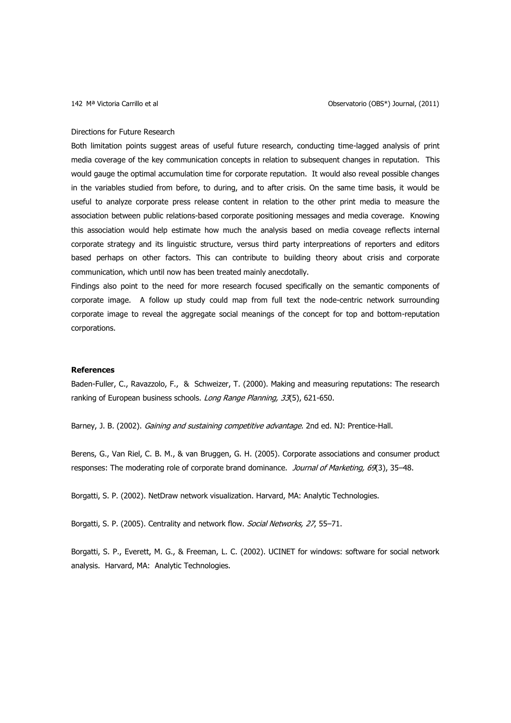#### Directions for Future Research

Both limitation points suggest areas of useful future research, conducting time-lagged analysis of print media coverage of the key communication concepts in relation to subsequent changes in reputation. This would gauge the optimal accumulation time for corporate reputation. It would also reveal possible changes in the variables studied from before, to during, and to after crisis. On the same time basis, it would be useful to analyze corporate press release content in relation to the other print media to measure the association between public relations-based corporate positioning messages and media coverage. Knowing this association would help estimate how much the analysis based on media coveage reflects internal corporate strategy and its linguistic structure, versus third party interpreations of reporters and editors based perhaps on other factors. This can contribute to building theory about crisis and corporate communication, which until now has been treated mainly anecdotally.

Findings also point to the need for more research focused specifically on the semantic components of corporate image. A follow up study could map from full text the node-centric network surrounding corporate image to reveal the aggregate social meanings of the concept for top and bottom-reputation corporations.

## **References**

Baden-Fuller, C., [Ravazzolo,](http://www.sciencedirect.com/science?_ob=ArticleURL&_udi=B6V6K-41V33C0-2&_user=208107&_coverDate=10%2F31%2F2000&_rdoc=1&_fmt=high&_orig=search&_sort=d&_docanchor=&view=c&_searchStrId=1288316103&_rerunOrigin=scholar.google&_acct=C000014338&_version=1&_urlVersion=0&_userid=208107&md5=ceb589702f43261aadb45202492cb6f9#vt2) F., & [Schweizer,](http://www.sciencedirect.com/science?_ob=ArticleURL&_udi=B6V6K-41V33C0-2&_user=208107&_coverDate=10%2F31%2F2000&_rdoc=1&_fmt=high&_orig=search&_sort=d&_docanchor=&view=c&_searchStrId=1288316103&_rerunOrigin=scholar.google&_acct=C000014338&_version=1&_urlVersion=0&_userid=208107&md5=ceb589702f43261aadb45202492cb6f9#vt3) T. (2000). Making and measuring reputations: The research ranking of European business schools. [Long Range Planning,](http://www.sciencedirect.com/science/journal/00246301) 33[\(5\)](http://www.sciencedirect.com/science?_ob=PublicationURL&_tockey=%23TOC%235817%232000%23999669994%23220409%23FLA%23&_cdi=5817&_pubType=J&view=c&_auth=y&_acct=C000014338&_version=1&_urlVersion=0&_userid=208107&md5=8eda54060b21c34600498ce623bbad73), 621-650.

Barney, J. B. (2002). Gaining and sustaining competitive advantage. 2nd ed. NJ: Prentice-Hall.

Berens, G., Van Riel, C. B. M., & van Bruggen, G. H. (2005). Corporate associations and consumer product responses: The moderating role of corporate brand dominance. Journal of Marketing, 69(3), 35-48.

Borgatti, S. P. (2002). NetDraw network visualization. Harvard, MA: Analytic Technologies.

Borgatti, S. P. (2005). Centrality and network flow. Social Networks, 27, 55-71.

Borgatti, S. P., Everett, M. G., & Freeman, L. C. (2002). UCINET for windows: software for social network analysis. Harvard, MA: Analytic Technologies.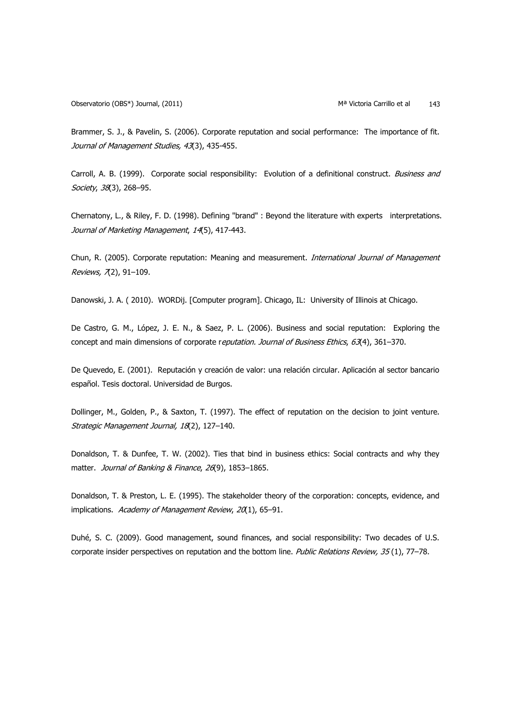Brammer, S. J., & Pavelin, S. (2006). Corporate reputation and social performance: The importance of fit. Journal of Management Studies, 43(3), 435-455.

Carroll, A. B. (1999). Corporate social responsibility: Evolution of a definitional construct. Business and Society, 38(3), 268-95.

Chernatony, L., & Riley, F. D. (1998). Defining "brand" : Beyond the literature with experts interpretations. Journal of Marketing Management, 14(5), 417-443.

Chun, R. (2005). Corporate reputation: Meaning and measurement. International Journal of Management Reviews, 7(2), 91-109.

Danowski, J. A. ( 2010). WORDij. [Computer program]. Chicago, IL: University of Illinois at Chicago.

De Castro, G. M., López, J. E. N., & Saez, P. L. (2006). Business and social reputation: Exploring the concept and main dimensions of corporate reputation. Journal of Business Ethics, 63(4), 361-370.

De Quevedo, E. (2001). Reputación y creación de valor: una relación circular. Aplicación al sector bancario español. Tesis doctoral. Universidad de Burgos.

Dollinger, M., Golden, P., & Saxton, T. (1997). The effect of reputation on the decision to joint venture. Strategic Management Journal, 18(2), 127-140.

Donaldson, T. & Dunfee, T. W. (2002). Ties that bind in business ethics: Social contracts and why they matter. Journal of Banking & Finance, 26(9), 1853-1865.

Donaldson, T. & Preston, L. E. (1995). The stakeholder theory of the corporation: concepts, evidence, and implications. Academy of Management Review, 20(1), 65-91.

Duhé, S. C. (2009). Good management, sound finances, and social responsibility: Two decades of U.S. corporate insider perspectives on reputation and the bottom line. Public Relations Review, 35(1), 77-78.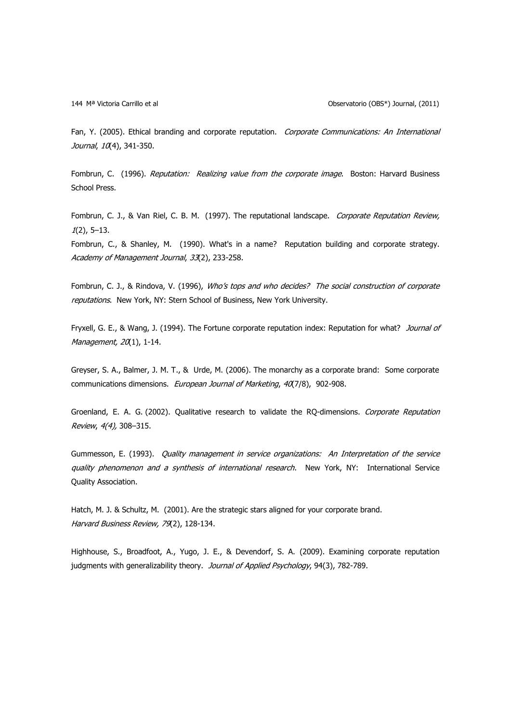144 Mª Victoria Carrillo et al Observatorio (OBS\*) Journal, (2011)

Fan, Y. (2005). Ethical branding and corporate reputation. Corporate Communications: An International Journal, 10(4), 341-350.

Fombrun, C. (1996). Reputation: Realizing value from the corporate image. Boston: Harvard Business School Press.

Fombrun, C. J., & Van Riel, C. B. M. (1997). The reputational landscape. Corporate Reputation Review,  $1(2)$ , 5–13.

Fombrun, C., & Shanley, M. (1990). What's in a name? Reputation building and corporate strategy. Academy of Management Journal, 33(2), 233-258.

Fombrun, C. J., & Rindova, V. (1996), Who's tops and who decides? The social construction of corporate reputations. New York, NY: Stern School of Business, New York University.

Fryxell, G. E., & Wang, J. (1994). The Fortune corporate reputation index: Reputation for what? Journal of Management, 20(1), 1-14.

Greyser, S. A., Balmer, J. M. T., & Urde, M. (2006). The monarchy as a corporate brand: Some corporate communications dimensions. European Journal of Marketing, 40(7/8), 902-908.

Groenland, E. A. G. (2002). Qualitative research to validate the RQ-dimensions. Corporate Reputation Review, 4(4), 308–315.

Gummesson, E. (1993). Quality management in service organizations: An Interpretation of the service quality phenomenon and a synthesis of international research. New York, NY: International Service Quality Association.

Hatch, M. J. & Schultz, M. (2001). Are the strategic stars aligned for your corporate brand. Harvard Business Review, 79(2), 128-134.

Highhouse, S., Broadfoot, A., Yugo, J. E., & Devendorf, S. A. (2009). Examining corporate reputation judgments with generalizability theory. Journal of Applied Psychology, 94(3), 782-789.